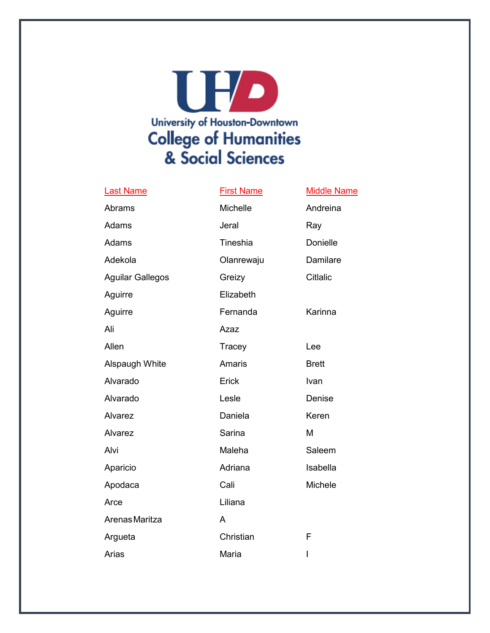

## Last Name **First Name** Middle Name

| Abrams                  | Michelle      | Andreina        |
|-------------------------|---------------|-----------------|
| Adams                   | Jeral         | Ray             |
| Adams                   | Tineshia      | Donielle        |
| Adekola                 | Olanrewaju    | Damilare        |
| <b>Aguilar Gallegos</b> | Greizy        | <b>Citlalic</b> |
| Aguirre                 | Elizabeth     |                 |
| Aguirre                 | Fernanda      | Karinna         |
| Ali                     | Azaz          |                 |
| Allen                   | Tracey        | Lee             |
| Alspaugh White          | <b>Amaris</b> | <b>Brett</b>    |
| Alvarado                | Erick         | Ivan            |
| Alvarado                | Lesle         | Denise          |
| Alvarez                 | Daniela       | Keren           |
| Alvarez                 | Sarina        | M               |
| Alvi                    | Maleha        | Saleem          |
| Aparicio                | Adriana       | Isabella        |
| Apodaca                 | Cali          | <b>Michele</b>  |
| Arce                    | Liliana       |                 |
| Arenas Maritza          | A             |                 |
| Argueta                 | Christian     | F               |
| Arias                   | Maria         | I               |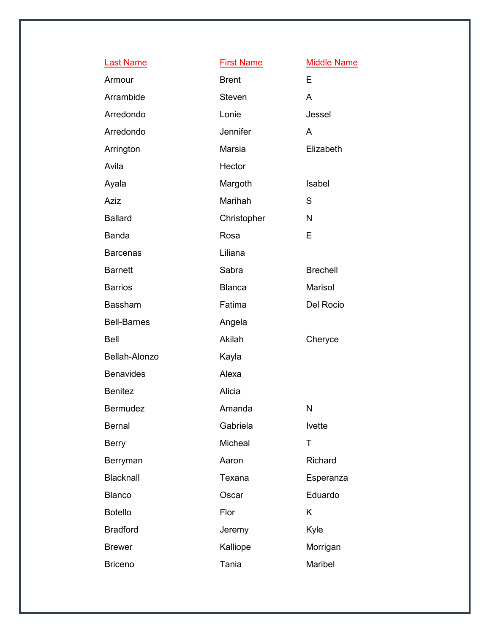| <b>Last Name</b>   | <b>First Name</b> | <b>Middle Name</b> |
|--------------------|-------------------|--------------------|
| Armour             | <b>Brent</b>      | E                  |
| Arrambide          | Steven            | A                  |
| Arredondo          | Lonie             | Jessel             |
| Arredondo          | <b>Jennifer</b>   | A                  |
| Arrington          | Marsia            | Elizabeth          |
| Avila              | Hector            |                    |
| Ayala              | Margoth           | Isabel             |
| <b>Aziz</b>        | Marihah           | S                  |
| <b>Ballard</b>     | Christopher       | N                  |
| <b>Banda</b>       | Rosa              | E                  |
| <b>Barcenas</b>    | Liliana           |                    |
| <b>Barnett</b>     | Sabra             | <b>Brechell</b>    |
| <b>Barrios</b>     | <b>Blanca</b>     | Marisol            |
| Bassham            | Fatima            | Del Rocio          |
| <b>Bell-Barnes</b> | Angela            |                    |
| <b>Bell</b>        | Akilah            | Cheryce            |
| Bellah-Alonzo      | Kayla             |                    |
| <b>Benavides</b>   | Alexa             |                    |
| <b>Benitez</b>     | Alicia            |                    |
| Bermudez           | Amanda            | N                  |
| <b>Bernal</b>      | Gabriela          | Ivette             |
| <b>Berry</b>       | Micheal           | T                  |
| Berryman           | Aaron             | Richard            |
| Blacknall          | Texana            | Esperanza          |
| <b>Blanco</b>      | Oscar             | Eduardo            |
| <b>Botello</b>     | Flor              | Κ                  |
| <b>Bradford</b>    | Jeremy            | Kyle               |
| <b>Brewer</b>      | Kalliope          | Morrigan           |
| <b>Briceno</b>     | Tania             | Maribel            |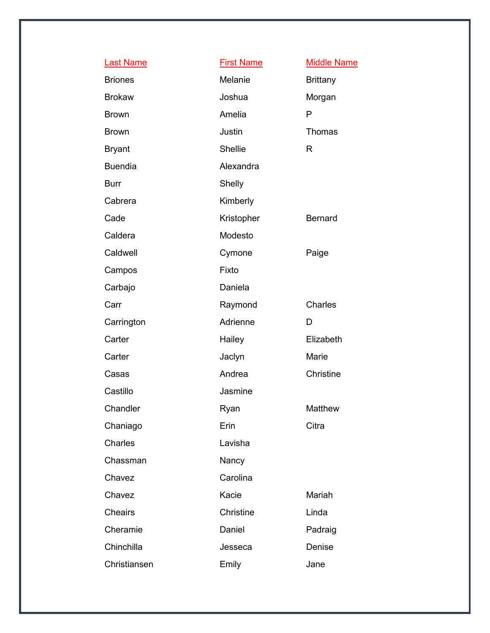| <b>Last Name</b> | <b>First Name</b> | <b>Middle Name</b> |
|------------------|-------------------|--------------------|
| <b>Briones</b>   | Melanie           | <b>Brittany</b>    |
| <b>Brokaw</b>    | Joshua            | Morgan             |
| <b>Brown</b>     | Amelia            | P                  |
| <b>Brown</b>     | Justin            | Thomas             |
| <b>Bryant</b>    | <b>Shellie</b>    | R                  |
| <b>Buendia</b>   | Alexandra         |                    |
| <b>Burr</b>      | Shelly            |                    |
| Cabrera          | Kimberly          |                    |
| Cade             | Kristopher        | <b>Bernard</b>     |
| Caldera          | Modesto           |                    |
| Caldwell         | Cymone            | Paige              |
| Campos           | Fixto             |                    |
| Carbajo          | Daniela           |                    |
| Carr             | Raymond           | Charles            |
| Carrington       | Adrienne          | D                  |
| Carter           | Hailey            | Elizabeth          |
| Carter           | Jaclyn            | Marie              |
| Casas            | Andrea            | Christine          |
| Castillo         | Jasmine           |                    |
| Chandler         | Ryan              | Matthew            |
| Chaniago         | Erin              | Citra              |
| Charles          | Lavisha           |                    |
| Chassman         | Nancy             |                    |
| Chavez           | Carolina          |                    |
| Chavez           | Kacie             | Mariah             |
| <b>Cheairs</b>   | Christine         | Linda              |
| Cheramie         | Daniel            | Padraig            |
| Chinchilla       | Jesseca           | Denise             |
| Christiansen     | Emily             | Jane               |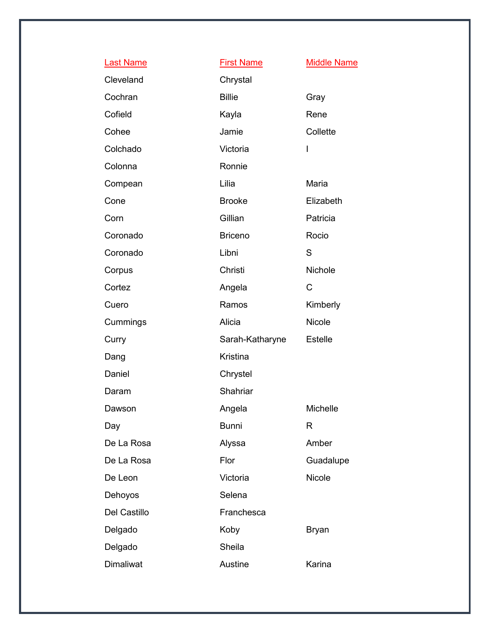| <b>Last Name</b> | <b>First Name</b> | <b>Middle Name</b> |
|------------------|-------------------|--------------------|
| Cleveland        | Chrystal          |                    |
| Cochran          | <b>Billie</b>     | Gray               |
| Cofield          | Kayla             | Rene               |
| Cohee            | Jamie             | Collette           |
| Colchado         | Victoria          | I                  |
| Colonna          | Ronnie            |                    |
| Compean          | Lilia             | Maria              |
| Cone             | <b>Brooke</b>     | Elizabeth          |
| Corn             | Gillian           | Patricia           |
| Coronado         | <b>Briceno</b>    | Rocio              |
| Coronado         | Libni             | S                  |
| Corpus           | Christi           | <b>Nichole</b>     |
| Cortez           | Angela            | $\mathsf{C}$       |
| Cuero            | Ramos             | Kimberly           |
| Cummings         | Alicia            | <b>Nicole</b>      |
| Curry            | Sarah-Katharyne   | Estelle            |
| Dang             | Kristina          |                    |
| Daniel           | Chrystel          |                    |
| Daram            | Shahriar          |                    |
| Dawson           | Angela            | Michelle           |
| Day              | <b>Bunni</b>      | R                  |
| De La Rosa       | Alyssa            | Amber              |
| De La Rosa       | Flor              | Guadalupe          |
| De Leon          | Victoria          | Nicole             |
| Dehoyos          | Selena            |                    |
| Del Castillo     | Franchesca        |                    |
| Delgado          | Koby              | <b>Bryan</b>       |
| Delgado          | Sheila            |                    |
| Dimaliwat        | Austine           | Karina             |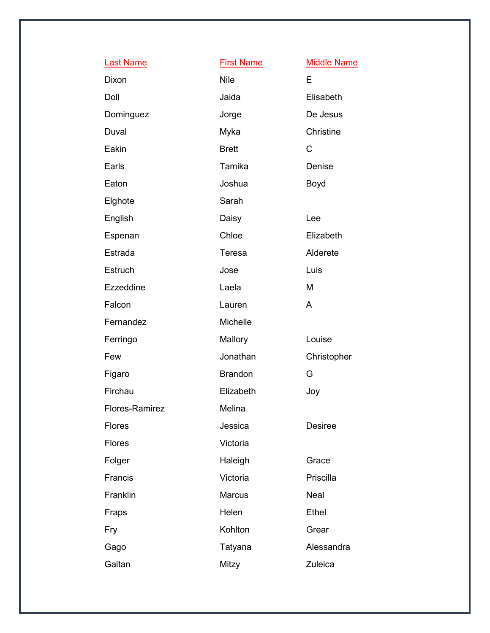| <b>Last Name</b> | <b>First Name</b> | <b>Middle Name</b> |
|------------------|-------------------|--------------------|
| Dixon            | <b>Nile</b>       | E                  |
| Doll             | Jaida             | Elisabeth          |
| Dominguez        | Jorge             | De Jesus           |
| Duval            | Myka              | Christine          |
| Eakin            | <b>Brett</b>      | C                  |
| Earls            | Tamika            | Denise             |
| Eaton            | Joshua            | <b>Boyd</b>        |
| Elghote          | Sarah             |                    |
| English          | Daisy             | Lee                |
| Espenan          | Chloe             | Elizabeth          |
| Estrada          | Teresa            | Alderete           |
| Estruch          | Jose              | Luis               |
| Ezzeddine        | Laela             | M                  |
| Falcon           | Lauren            | A                  |
| Fernandez        | Michelle          |                    |
| Ferringo         | Mallory           | Louise             |
| Few              | Jonathan          | Christopher        |
| Figaro           | <b>Brandon</b>    | G                  |
| Firchau          | Elizabeth         | Joy                |
| Flores-Ramirez   | Melina            |                    |
| <b>Flores</b>    | Jessica           | <b>Desiree</b>     |
| <b>Flores</b>    | Victoria          |                    |
| Folger           | Haleigh           | Grace              |
| Francis          | Victoria          | Priscilla          |
| Franklin         | <b>Marcus</b>     | <b>Neal</b>        |
| Fraps            | Helen             | Ethel              |
| Fry              | Kohlton           | Grear              |
| Gago             | Tatyana           | Alessandra         |
| Gaitan           | Mitzy             | Zuleica            |
|                  |                   |                    |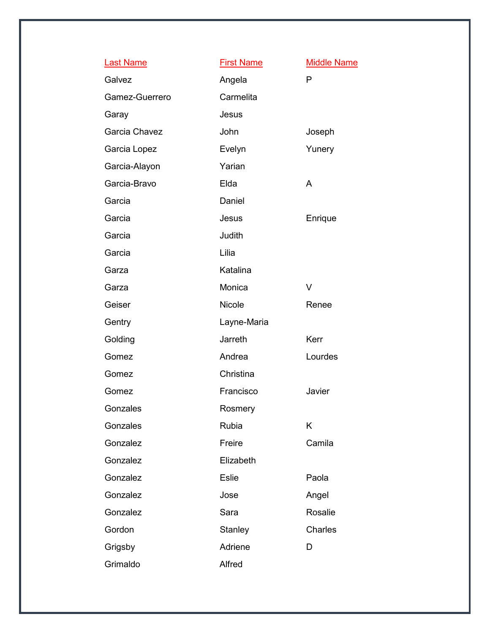| <b>Last Name</b> | <b>First Name</b> | <b>Middle Name</b> |
|------------------|-------------------|--------------------|
| Galvez           | Angela            | P                  |
| Gamez-Guerrero   | Carmelita         |                    |
| Garay            | Jesus             |                    |
| Garcia Chavez    | John              | Joseph             |
| Garcia Lopez     | Evelyn            | Yunery             |
| Garcia-Alayon    | Yarian            |                    |
| Garcia-Bravo     | Elda              | A                  |
| Garcia           | Daniel            |                    |
| Garcia           | Jesus             | Enrique            |
| Garcia           | Judith            |                    |
| Garcia           | Lilia             |                    |
| Garza            | Katalina          |                    |
| Garza            | Monica            | V                  |
| Geiser           | <b>Nicole</b>     | Renee              |
| Gentry           | Layne-Maria       |                    |
| Golding          | Jarreth           | Kerr               |
| Gomez            | Andrea            | Lourdes            |
| Gomez            | Christina         |                    |
| Gomez            | Francisco         | Javier             |
| Gonzales         | Rosmery           |                    |
| Gonzales         | Rubia             | Κ                  |
| Gonzalez         | Freire            | Camila             |
| Gonzalez         | Elizabeth         |                    |
| Gonzalez         | <b>Eslie</b>      | Paola              |
| Gonzalez         | Jose              | Angel              |
| Gonzalez         | Sara              | Rosalie            |
| Gordon           | Stanley           | Charles            |
| Grigsby          | Adriene           | D                  |
| Grimaldo         | Alfred            |                    |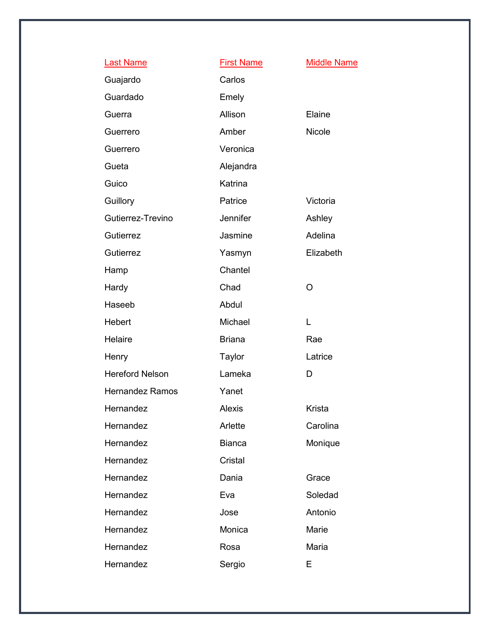| <b>Last Name</b>       | <b>First Name</b> | <b>Middle Name</b> |
|------------------------|-------------------|--------------------|
| Guajardo               | Carlos            |                    |
| Guardado               | Emely             |                    |
| Guerra                 | Allison           | Elaine             |
| Guerrero               | Amber             | <b>Nicole</b>      |
| Guerrero               | Veronica          |                    |
| Gueta                  | Alejandra         |                    |
| Guico                  | Katrina           |                    |
| Guillory               | Patrice           | Victoria           |
| Gutierrez-Trevino      | Jennifer          | Ashley             |
| Gutierrez              | Jasmine           | Adelina            |
| Gutierrez              | Yasmyn            | Elizabeth          |
| Hamp                   | Chantel           |                    |
| Hardy                  | Chad              | O                  |
| Haseeb                 | Abdul             |                    |
| Hebert                 | Michael           | L                  |
| Helaire                | <b>Briana</b>     | Rae                |
| Henry                  | <b>Taylor</b>     | Latrice            |
| <b>Hereford Nelson</b> | Lameka            | D                  |
| <b>Hernandez Ramos</b> | Yanet             |                    |
| Hernandez              | <b>Alexis</b>     | Krista             |
| Hernandez              | Arlette           | Carolina           |
| Hernandez              | <b>Bianca</b>     | Monique            |
| Hernandez              | Cristal           |                    |
| Hernandez              | Dania             | Grace              |
| Hernandez              | Eva               | Soledad            |
| Hernandez              | Jose              | Antonio            |
| Hernandez              | Monica            | Marie              |
| Hernandez              | Rosa              | Maria              |
| Hernandez              | Sergio            | E                  |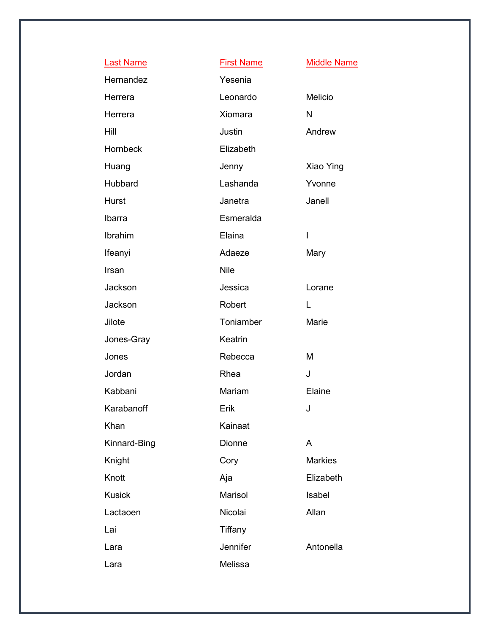| <b>Last Name</b> | <b>First Name</b> | <b>Middle Name</b> |
|------------------|-------------------|--------------------|
| Hernandez        | Yesenia           |                    |
| Herrera          | Leonardo          | Melicio            |
| Herrera          | Xiomara           | N                  |
| Hill             | Justin            | Andrew             |
| Hornbeck         | Elizabeth         |                    |
| Huang            | Jenny             | Xiao Ying          |
| Hubbard          | Lashanda          | Yvonne             |
| Hurst            | Janetra           | Janell             |
| Ibarra           | Esmeralda         |                    |
| Ibrahim          | Elaina            | I                  |
| Ifeanyi          | Adaeze            | Mary               |
| Irsan            | <b>Nile</b>       |                    |
| Jackson          | Jessica           | Lorane             |
| Jackson          | Robert            | L.                 |
| Jilote           | Toniamber         | Marie              |
| Jones-Gray       | Keatrin           |                    |
| Jones            | Rebecca           | M                  |
| Jordan           | Rhea              | J                  |
| Kabbani          | Mariam            | Elaine             |
| Karabanoff       | Erik              | J                  |
| Khan             | Kainaat           |                    |
| Kinnard-Bing     | Dionne            | A                  |
| Knight           | Cory              | <b>Markies</b>     |
| Knott            | Aja               | Elizabeth          |
| <b>Kusick</b>    | Marisol           | Isabel             |
| Lactaoen         | Nicolai           | Allan              |
| Lai              | Tiffany           |                    |
| Lara             | Jennifer          | Antonella          |
| Lara             | Melissa           |                    |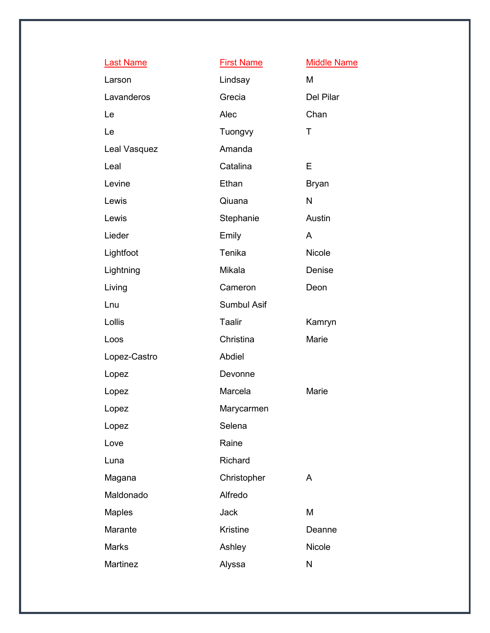| <b>Last Name</b> | <b>First Name</b> | <b>Middle Name</b> |
|------------------|-------------------|--------------------|
| Larson           | Lindsay           | M                  |
| Lavanderos       | Grecia            | Del Pilar          |
| Le               | Alec              | Chan               |
| Le               | Tuongvy           | T                  |
| Leal Vasquez     | Amanda            |                    |
| Leal             | Catalina          | E                  |
| Levine           | Ethan             | <b>Bryan</b>       |
| Lewis            | Qiuana            | N                  |
| Lewis            | Stephanie         | Austin             |
| Lieder           | Emily             | A                  |
| Lightfoot        | Tenika            | Nicole             |
| Lightning        | Mikala            | Denise             |
| Living           | Cameron           | Deon               |
| Lnu              | Sumbul Asif       |                    |
| Lollis           | <b>Taalir</b>     | Kamryn             |
| Loos             | Christina         | Marie              |
| Lopez-Castro     | Abdiel            |                    |
| Lopez            | Devonne           |                    |
| Lopez            | Marcela           | Marie              |
| Lopez            | Marycarmen        |                    |
| Lopez            | Selena            |                    |
| Love             | Raine             |                    |
| Luna             | Richard           |                    |
| Magana           | Christopher       | A                  |
| Maldonado        | Alfredo           |                    |
| <b>Maples</b>    | Jack              | M                  |
| Marante          | <b>Kristine</b>   | Deanne             |
| <b>Marks</b>     | Ashley            | <b>Nicole</b>      |
| Martinez         | Alyssa            | N                  |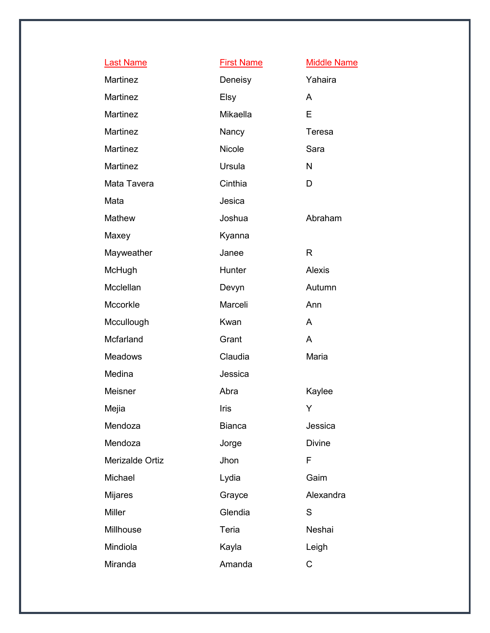| <b>Last Name</b> | <b>First Name</b> | <b>Middle Name</b> |
|------------------|-------------------|--------------------|
| Martinez         | Deneisy           | Yahaira            |
| Martinez         | Elsy              | A                  |
| <b>Martinez</b>  | Mikaella          | E                  |
| Martinez         | Nancy             | Teresa             |
| Martinez         | <b>Nicole</b>     | Sara               |
| Martinez         | Ursula            | N                  |
| Mata Tavera      | Cinthia           | D                  |
| Mata             | Jesica            |                    |
| Mathew           | Joshua            | Abraham            |
| Maxey            | Kyanna            |                    |
| Mayweather       | Janee             | R                  |
| McHugh           | Hunter            | Alexis             |
| Mcclellan        | Devyn             | Autumn             |
| Mccorkle         | Marceli           | Ann                |
| Mccullough       | Kwan              | A                  |
| Mcfarland        | Grant             | A                  |
| <b>Meadows</b>   | Claudia           | Maria              |
| Medina           | Jessica           |                    |
| Meisner          | Abra              | Kaylee             |
| Mejia            | Iris              | Y                  |
| Mendoza          | <b>Bianca</b>     | Jessica            |
| Mendoza          | Jorge             | <b>Divine</b>      |
| Merizalde Ortiz  | Jhon              | F                  |
| Michael          | Lydia             | Gaim               |
| <b>Mijares</b>   | Grayce            | Alexandra          |
| <b>Miller</b>    | Glendia           | S                  |
| Millhouse        | Teria             | Neshai             |
| Mindiola         | Kayla             | Leigh              |
| Miranda          | Amanda            | C                  |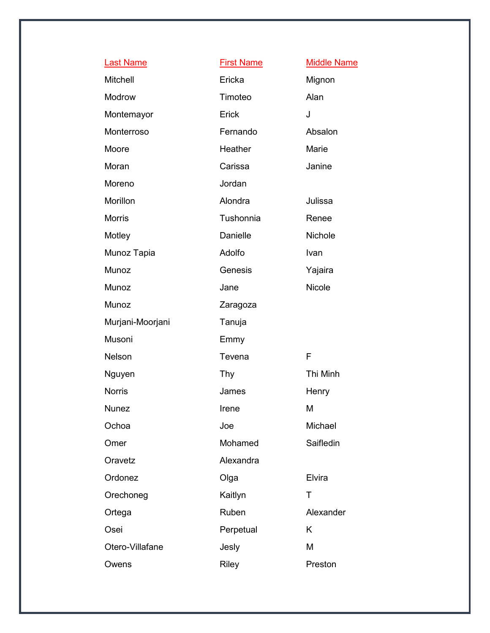| <b>Last Name</b> | <b>First Name</b> | <b>Middle Name</b> |
|------------------|-------------------|--------------------|
| Mitchell         | Ericka            | Mignon             |
| Modrow           | Timoteo           | Alan               |
| Montemayor       | Erick             | J                  |
| Monterroso       | Fernando          | Absalon            |
| Moore            | Heather           | Marie              |
| Moran            | Carissa           | Janine             |
| Moreno           | Jordan            |                    |
| Morillon         | Alondra           | Julissa            |
| <b>Morris</b>    | Tushonnia         | Renee              |
| Motley           | Danielle          | Nichole            |
| Munoz Tapia      | Adolfo            | Ivan               |
| Munoz            | Genesis           | Yajaira            |
| Munoz            | Jane              | <b>Nicole</b>      |
| Munoz            | Zaragoza          |                    |
| Murjani-Moorjani | Tanuja            |                    |
| Musoni           | Emmy              |                    |
|                  |                   | F                  |
| Nelson           | Tevena            |                    |
| Nguyen           | <b>Thy</b>        | Thi Minh           |
| <b>Norris</b>    | James             | Henry              |
| Nunez            | Irene             | M                  |
| Ochoa            | Joe               | Michael            |
| Omer             | Mohamed           | Saifledin          |
| Oravetz          | Alexandra         |                    |
| Ordonez          | Olga              | Elvira             |
| Orechoneg        | Kaitlyn           | T                  |
| Ortega           | Ruben             | Alexander          |
| Osei             | Perpetual         | K                  |
| Otero-Villafane  | Jesly             | M                  |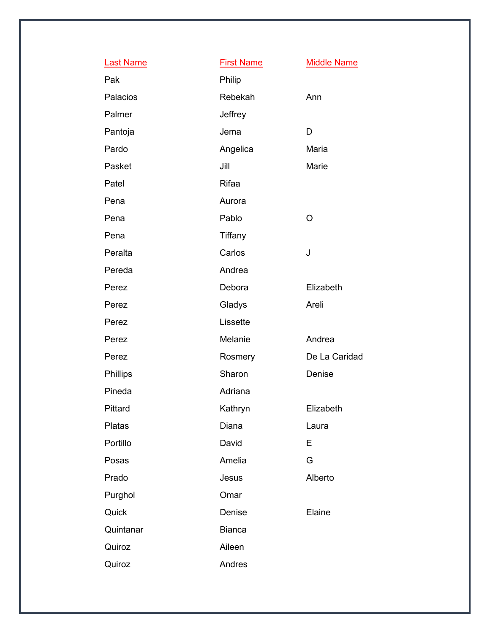| <b>Last Name</b> | <b>First Name</b> | <b>Middle Name</b> |
|------------------|-------------------|--------------------|
| Pak              | Philip            |                    |
| Palacios         | Rebekah           | Ann                |
| Palmer           | Jeffrey           |                    |
| Pantoja          | Jema              | D                  |
| Pardo            | Angelica          | Maria              |
| Pasket           | Jill              | Marie              |
| Patel            | Rifaa             |                    |
| Pena             | Aurora            |                    |
| Pena             | Pablo             | $\circ$            |
| Pena             | Tiffany           |                    |
| Peralta          | Carlos            | J                  |
| Pereda           | Andrea            |                    |
| Perez            | Debora            | Elizabeth          |
| Perez            | Gladys            | Areli              |
| Perez            | Lissette          |                    |
| Perez            | Melanie           | Andrea             |
| Perez            | Rosmery           | De La Caridad      |
| Phillips         | Sharon            | Denise             |
| Pineda           | Adriana           |                    |
| Pittard          | Kathryn           | Elizabeth          |
| Platas           | Diana             | Laura              |
| Portillo         | David             | E                  |
| Posas            | Amelia            | G                  |
| Prado            | Jesus             | Alberto            |
| Purghol          | Omar              |                    |
| Quick            | Denise            | Elaine             |
| Quintanar        | <b>Bianca</b>     |                    |
| Quiroz           | Aileen            |                    |
| Quiroz           | Andres            |                    |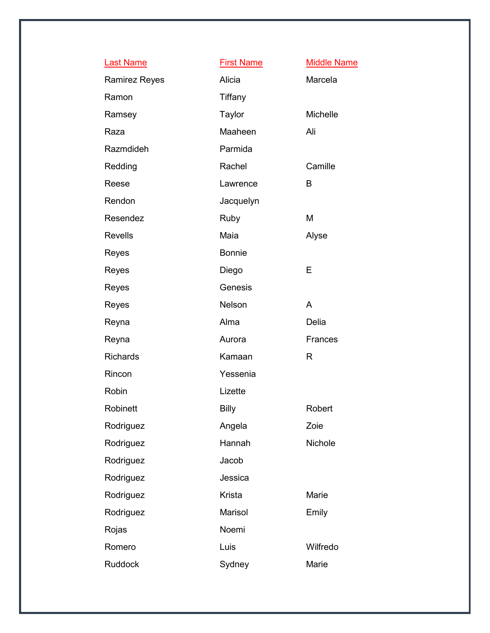| <b>Last Name</b>     | <b>First Name</b> | <b>Middle Name</b> |
|----------------------|-------------------|--------------------|
| <b>Ramirez Reyes</b> | Alicia            | Marcela            |
| Ramon                | Tiffany           |                    |
| Ramsey               | Taylor            | Michelle           |
| Raza                 | Maaheen           | Ali                |
| Razmdideh            | Parmida           |                    |
| Redding              | Rachel            | Camille            |
| Reese                | Lawrence          | B                  |
| Rendon               | Jacquelyn         |                    |
| Resendez             | Ruby              | M                  |
| <b>Revells</b>       | Maia              | Alyse              |
| Reyes                | <b>Bonnie</b>     |                    |
| Reyes                | Diego             | Е                  |
| Reyes                | Genesis           |                    |
| Reyes                | Nelson            | A                  |
| Reyna                | Alma              | Delia              |
| Reyna                | Aurora            | Frances            |
| <b>Richards</b>      | Kamaan            | R                  |
| Rincon               | Yessenia          |                    |
| Robin                | Lizette           |                    |
| Robinett             | <b>Billy</b>      | Robert             |
| Rodriguez            | Angela            | Zoie               |
| Rodriguez            | Hannah            | Nichole            |
| Rodriguez            | Jacob             |                    |
| Rodriguez            | Jessica           |                    |
| Rodriguez            | Krista            | Marie              |
| Rodriguez            | Marisol           | Emily              |
| Rojas                | Noemi             |                    |
| Romero               | Luis              | Wilfredo           |
| Ruddock              | Sydney            | Marie              |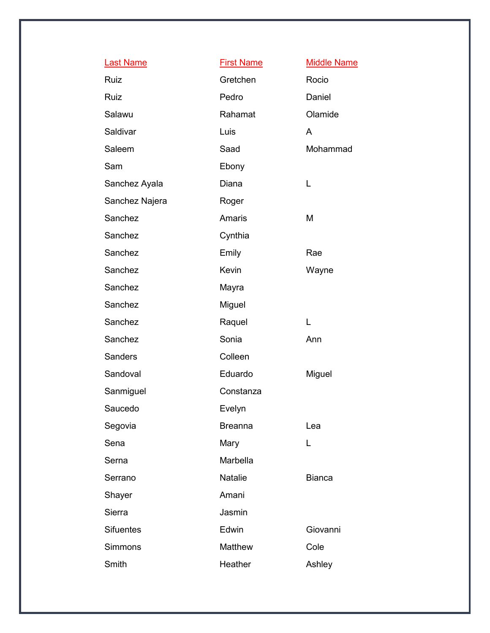| <b>Last Name</b> | <b>First Name</b> | <b>Middle Name</b> |
|------------------|-------------------|--------------------|
| Ruiz             | Gretchen          | Rocio              |
| Ruiz             | Pedro             | Daniel             |
| Salawu           | Rahamat           | Olamide            |
| Saldivar         | Luis              | A                  |
| Saleem           | Saad              | Mohammad           |
| Sam              | Ebony             |                    |
| Sanchez Ayala    | Diana             | L                  |
| Sanchez Najera   | Roger             |                    |
| Sanchez          | <b>Amaris</b>     | M                  |
| Sanchez          | Cynthia           |                    |
| Sanchez          | Emily             | Rae                |
| Sanchez          | Kevin             | Wayne              |
| Sanchez          | Mayra             |                    |
| Sanchez          | Miguel            |                    |
| Sanchez          | Raquel            | L                  |
| Sanchez          | Sonia             | Ann                |
| Sanders          | Colleen           |                    |
| Sandoval         | Eduardo           | Miguel             |
| Sanmiguel        | Constanza         |                    |
| Saucedo          | Evelyn            |                    |
| Segovia          | <b>Breanna</b>    | Lea                |
| Sena             | Mary              | L                  |
| Serna            | Marbella          |                    |
| Serrano          | <b>Natalie</b>    | <b>Bianca</b>      |
| Shayer           | Amani             |                    |
| Sierra           | Jasmin            |                    |
| <b>Sifuentes</b> | Edwin             | Giovanni           |
| Simmons          | Matthew           | Cole               |
| Smith            | Heather           | Ashley             |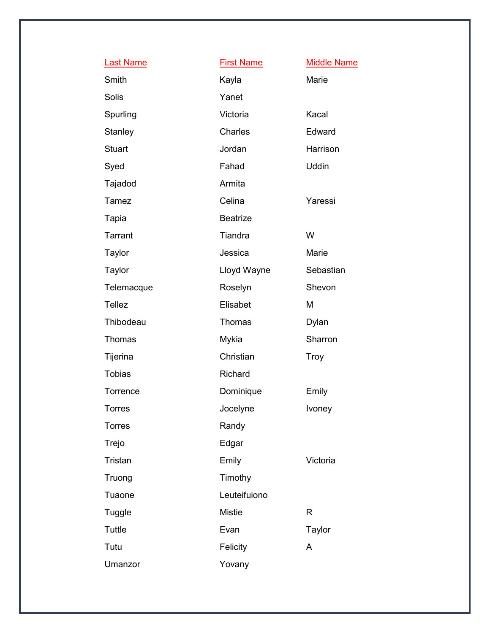| <b>Last Name</b> | <b>First Name</b> | <b>Middle Name</b> |
|------------------|-------------------|--------------------|
| Smith            | Kayla             | Marie              |
| <b>Solis</b>     | Yanet             |                    |
| Spurling         | Victoria          | Kacal              |
| Stanley          | Charles           | Edward             |
| <b>Stuart</b>    | Jordan            | Harrison           |
| Syed             | Fahad             | <b>Uddin</b>       |
| Tajadod          | Armita            |                    |
| Tamez            | Celina            | Yaressi            |
| Tapia            | <b>Beatrize</b>   |                    |
| Tarrant          | Tiandra           | W                  |
| Taylor           | Jessica           | Marie              |
| Taylor           | Lloyd Wayne       | Sebastian          |
| Telemacque       | Roselyn           | Shevon             |
| <b>Tellez</b>    | Elisabet          | M                  |
| Thibodeau        | Thomas            | Dylan              |
| Thomas           | Mykia             | Sharron            |
| Tijerina         | Christian         | <b>Troy</b>        |
| <b>Tobias</b>    | Richard           |                    |
| Torrence         | Dominique         | Emily              |
| <b>Torres</b>    | Jocelyne          | Ivoney             |
| <b>Torres</b>    | Randy             |                    |
| Trejo            | Edgar             |                    |
| Tristan          | Emily             | Victoria           |
| Truong           | Timothy           |                    |
| Tuaone           | Leuteifuiono      |                    |
| Tuggle           | <b>Mistie</b>     | $\mathsf{R}$       |
| <b>Tuttle</b>    | Evan              | <b>Taylor</b>      |
| Tutu             | Felicity          | A                  |
| Umanzor          | Yovany            |                    |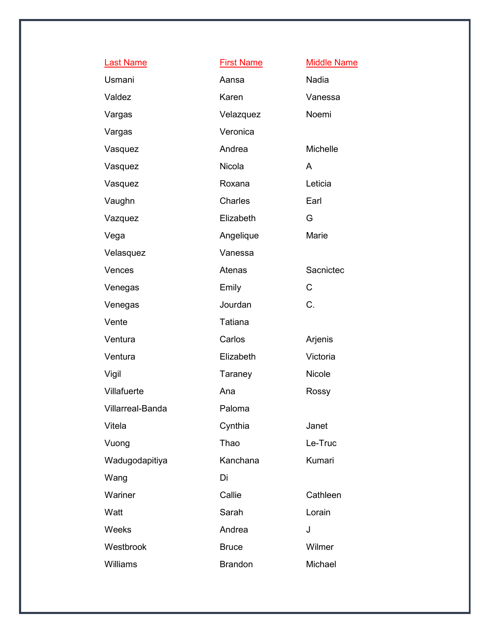| <b>Last Name</b>        | <b>First Name</b> | <b>Middle Name</b> |
|-------------------------|-------------------|--------------------|
| Usmani                  | Aansa             | Nadia              |
| Valdez                  | Karen             | Vanessa            |
| Vargas                  | Velazquez         | Noemi              |
| Vargas                  | Veronica          |                    |
| Vasquez                 | Andrea            | Michelle           |
| Vasquez                 | Nicola            | A                  |
| Vasquez                 | Roxana            | Leticia            |
| Vaughn                  | Charles           | Earl               |
| Vazquez                 | Elizabeth         | G                  |
| Vega                    | Angelique         | Marie              |
| Velasquez               | Vanessa           |                    |
| Vences                  | Atenas            | Sacnictec          |
| Venegas                 | Emily             | C                  |
| Venegas                 | Jourdan           | C.                 |
| Vente                   | <b>Tatiana</b>    |                    |
| Ventura                 | Carlos            | Arjenis            |
| Ventura                 | Elizabeth         | Victoria           |
| Vigil                   | Taraney           | Nicole             |
| Villafuerte             | Ana               | Rossy              |
| <b>Villarreal-Banda</b> | Paloma            |                    |
| Vitela                  | Cynthia           | Janet              |
| Vuong                   | Thao              | Le-Truc            |
| Wadugodapitiya          | Kanchana          | Kumari             |
| Wang                    | Di                |                    |
| Wariner                 | Callie            | Cathleen           |
| Watt                    | Sarah             | Lorain             |
| Weeks                   | Andrea            | J                  |
| Westbrook               | <b>Bruce</b>      | Wilmer             |
| <b>Williams</b>         | <b>Brandon</b>    | Michael            |